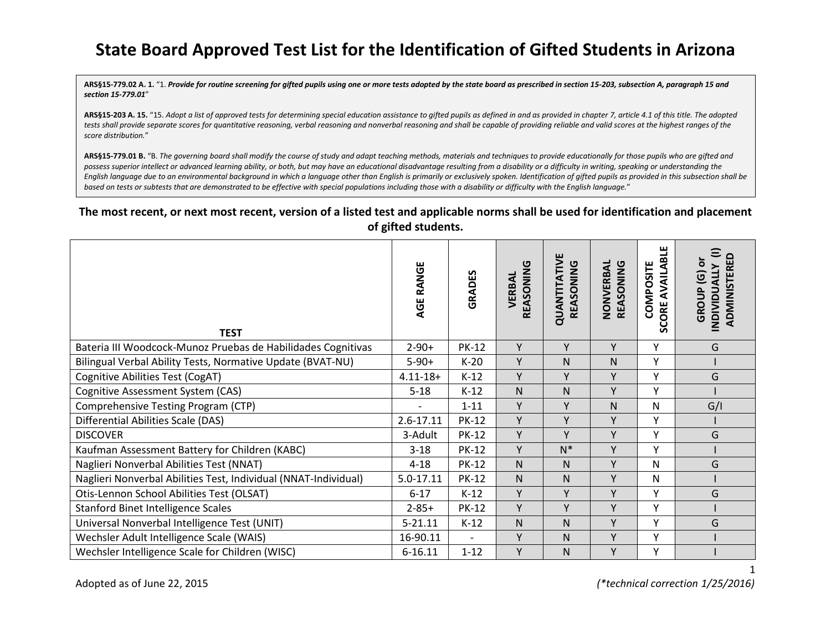## **State Board Approved Test List for the Identification of Gifted Students in Arizona**

**ARS§15-779.02 A. 1.** "1. *Provide for routine screening for gifted pupils using one or more tests adopted by the state board as prescribed in section 15-203, subsection A, paragraph 15 and section 15-779.01*"

**ARS§15-203 A. 15.** "15. *Adopt a list of approved tests for determining special education assistance to gifted pupils as defined in and as provided in chapter 7, article 4.1 of this title. The adopted tests shall provide separate scores for quantitative reasoning, verbal reasoning and nonverbal reasoning and shall be capable of providing reliable and valid scores at the highest ranges of the score distribution.*"

**ARS§15-779.01 B.** "B. *The governing board shall modify the course of study and adapt teaching methods, materials and techniques to provide educationally for those pupils who are gifted and possess superior intellect or advanced learning ability, or both, but may have an educational disadvantage resulting from a disability or a difficulty in writing, speaking or understanding the English language due to an environmental background in which a language other than English is primarily or exclusively spoken. Identification of gifted pupils as provided in this subsection shall be based on tests or subtests that are demonstrated to be effective with special populations including those with a disability or difficulty with the English language.*"

### **The most recent, or next most recent, version of a listed test and applicable norms shall be used for identification and placement of gifted students.**

| <b>TEST</b>                                                     | AGE RANGE     | GRADES                   | ပ<br>REASONIN<br>VERBAL | QUANTITATIVE<br>REASONING | NONVERBAL<br>REASONING | <b>SCORE AVAILABLE</b><br>COMPOSITE | Ξ<br>$\Omega$<br>ŏ<br><b>ADMINISTERE</b><br><b>INDIVIDUALLY</b><br>$\overline{G}$<br>GROUP |
|-----------------------------------------------------------------|---------------|--------------------------|-------------------------|---------------------------|------------------------|-------------------------------------|--------------------------------------------------------------------------------------------|
| Bateria III Woodcock-Munoz Pruebas de Habilidades Cognitivas    | $2 - 90 +$    | <b>PK-12</b>             | Y                       | Y                         | Υ                      | Υ                                   | G                                                                                          |
| Bilingual Verbal Ability Tests, Normative Update (BVAT-NU)      | $5-90+$       | $K-20$                   | Y                       | N                         | N                      | Υ                                   |                                                                                            |
| <b>Cognitive Abilities Test (CogAT)</b>                         | $4.11 - 18 +$ | $K-12$                   | Y                       | Y                         | Υ                      | Y                                   | G                                                                                          |
| Cognitive Assessment System (CAS)                               | $5 - 18$      | $K-12$                   | N.                      | N                         | Υ                      | Y                                   |                                                                                            |
| Comprehensive Testing Program (CTP)                             |               | $1 - 11$                 | Y                       | Y                         | N                      | Ν                                   | G/I                                                                                        |
| Differential Abilities Scale (DAS)                              | $2.6 - 17.11$ | <b>PK-12</b>             | Υ                       | Y                         | Y                      | Υ                                   |                                                                                            |
| <b>DISCOVER</b>                                                 | 3-Adult       | <b>PK-12</b>             | Y                       | Y                         | Y                      | Υ                                   | G                                                                                          |
| Kaufman Assessment Battery for Children (KABC)                  | $3 - 18$      | <b>PK-12</b>             | Y                       | $N^*$                     | Υ                      | Y                                   |                                                                                            |
| Naglieri Nonverbal Abilities Test (NNAT)                        | $4 - 18$      | <b>PK-12</b>             | N.                      | N                         | Υ                      | N                                   | G                                                                                          |
| Naglieri Nonverbal Abilities Test, Individual (NNAT-Individual) | 5.0-17.11     | <b>PK-12</b>             | N.                      | N                         | Y                      | N                                   |                                                                                            |
| Otis-Lennon School Abilities Test (OLSAT)                       | $6 - 17$      | $K-12$                   | Υ                       | Y                         | Υ                      | Υ                                   | G                                                                                          |
| <b>Stanford Binet Intelligence Scales</b>                       | $2 - 85 +$    | <b>PK-12</b>             | Y                       | Y                         | Y                      | Y                                   |                                                                                            |
| Universal Nonverbal Intelligence Test (UNIT)                    | $5 - 21.11$   | $K-12$                   | N                       | N                         | Υ                      | Y                                   | G                                                                                          |
| Wechsler Adult Intelligence Scale (WAIS)                        | 16-90.11      | $\overline{\phantom{a}}$ | Υ                       | N                         | Υ                      | Υ                                   |                                                                                            |
| Wechsler Intelligence Scale for Children (WISC)                 | $6 - 16.11$   | $1 - 12$                 | Υ                       | N                         | Υ                      | Y                                   |                                                                                            |

Adopted as of June 22, 2015 *(\*technical correction 1/25/2016)*